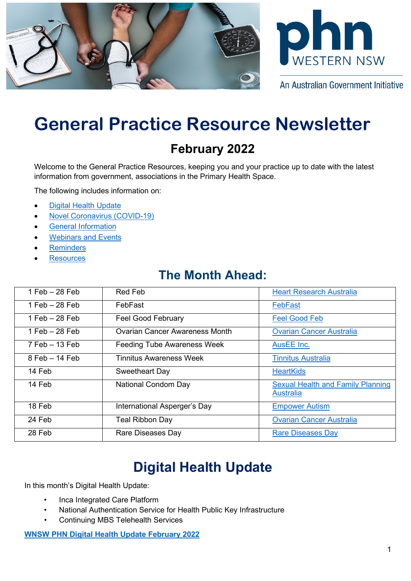



An Australian Government Initiative

# **General Practice Resource Newsletter**

### **February 2022**

Welcome to the General Practice Resources, keeping you and your practice up to date with the latest information from government, associations in the Primary Health Space.

The following includes information on:

- [Digital Health Update](#page-0-0)
- [Novel Coronavirus \(COVID-19\)](#page-0-1)
- [General Information](#page-2-0)
- **[Webinars and Events](#page-3-0)**
- **[Reminders](#page-4-0)**
- **[Resources](#page-4-1)**

### **The Month Ahead:**

| $1$ Feb $-28$ Feb  | <b>Red Feb</b>                        | <b>Heart Research Australia</b>                              |
|--------------------|---------------------------------------|--------------------------------------------------------------|
| $1$ Feb $-28$ Feb  | FebFast                               | FebFast                                                      |
| 1 Feb $-28$ Feb    | <b>Feel Good February</b>             | <b>Feel Good Feb</b>                                         |
| 1 Feb $-28$ Feb    | <b>Ovarian Cancer Awareness Month</b> | <b>Ovarian Cancer Australia</b>                              |
| $7$ Feb $-$ 13 Feb | <b>Feeding Tube Awareness Week</b>    | AusEE Inc.                                                   |
| $8$ Feb $-$ 14 Feb | <b>Tinnitus Awareness Week</b>        | <b>Tinnitus Australia</b>                                    |
| 14 Feb             | Sweetheart Day                        | <b>HeartKids</b>                                             |
| 14 Feb             | <b>National Condom Day</b>            | <b>Sexual Health and Family Planning</b><br><b>Australia</b> |
| 18 Feb             | International Asperger's Day          | <b>Empower Autism</b>                                        |
| 24 Feb             | <b>Teal Ribbon Day</b>                | <b>Ovarian Cancer Australia</b>                              |
| 28 Feb             | Rare Diseases Day                     | <b>Rare Diseases Day</b>                                     |

## **Digital Health Update**

<span id="page-0-1"></span><span id="page-0-0"></span>In this month's Digital Health Update:

- Inca Integrated Care Platform
- National Authentication Service for Health Public Key Infrastructure
- Continuing MBS Telehealth Services

**[WNSW PHN Digital Health Update February 2022](https://www.wnswphn.org.au/uploads/documents/newsletters/GP%20Resources%20February%202022/DIGITAL%20HEALTH%20UPDATE%20February%202022.pdf)**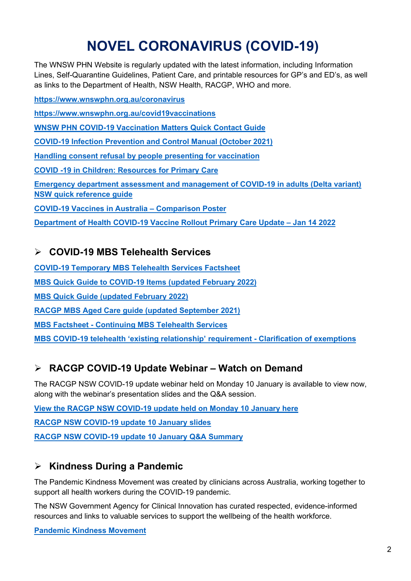## **NOVEL CORONAVIRUS (COVID-19)**

The WNSW PHN Website is regularly updated with the latest information, including Information Lines, Self-Quarantine Guidelines, Patient Care, and printable resources for GP's and ED's, as well as links to the Department of Health, NSW Health, RACGP, WHO and more.

**<https://www.wnswphn.org.au/coronavirus>**

**<https://www.wnswphn.org.au/covid19vaccinations>**

**[WNSW PHN COVID-19 Vaccination Matters Quick Contact Guide](https://www.wnswphn.org.au/uploads/documents/newsletters/GP%20Resources%20July%202021/WNSW%20PHN%20COVID-19%20Primary%20Care%20Vaccination%20Contacts.pdf)**

**[COVID-19 Infection Prevention and Control Manual \(October 2021\)](https://www.cec.health.nsw.gov.au/keep-patients-safe/COVID-19/COVID-19-IPAC-manual)**

**[Handling consent refusal by people presenting for vaccination](https://www.wnswphn.org.au/uploads/documents/newsletters/GP%20Resources%20January%202022/COVID%20Vaccine%20-%20Handling%20Consent.pdf)**

**[COVID -19 in Children: Resources for Primary Care](https://www.wnswphn.org.au/uploads/documents/newsletters/GP%20Resources%20January%202022/COVID-19%20Digital%20Poster.pdf)**

**[Emergency department assessment and management of COVID-19 in adults \(Delta variant\)](https://www.wnswphn.org.au/uploads/documents/newsletters/GP%20Resources%20February%202022/guide-ed-assessment-management.pdf)  [NSW quick reference guide](https://www.wnswphn.org.au/uploads/documents/newsletters/GP%20Resources%20February%202022/guide-ed-assessment-management.pdf)**

**[COVID-19 Vaccines in Australia –](https://www.wnswphn.org.au/uploads/documents/newsletters/GP%20Resources%20February%202022/COVID-19_vaccine_comparison_poster_v11.pdf) Comparison Poster**

**[Department of Health COVID-19 Vaccine Rollout Primary Care Update –](https://www.wnswphn.org.au/uploads/documents/newsletters/GP%20Resources%20February%202022/14JAN22_COVID-19%20Vaccine%20Rollout%20Primary%20Care%20Update.pdf) Jan 14 2022**

#### **COVID-19 MBS Telehealth Services**

**[COVID-19 Temporary MBS Telehealth Services Factsheet](https://www.wnswphn.org.au/uploads/documents/newsletters/GP%20Resources%20October%202021/Factsheet-COVID-19-GPsOMP-30.07.21.pdf) MBS Quick Guide to COVID-19 Items [\(updated February 2022\)](https://www.wnswphn.org.au/uploads/documents/newsletters/GP%20Resources%20February%202022/MBS%20card_FEB22_COVID-19.v2.pdf) [MBS Quick Guide \(updated February](https://www.wnswphn.org.au/uploads/documents/newsletters/GP%20Resources%20February%202022/MBS%20card_FEB22.pdf) 2022) [RACGP MBS Aged Care guide \(updated September 2021\)](https://www.wnswphn.org.au/uploads/documents/newsletters/GP%20Resources%20October%202021/RACGP%20MBS%20Aged%20Care%20guide%20-%202021-09-21.pdf) MBS Factsheet - [Continuing MBS Telehealth Services](https://www.wnswphn.org.au/uploads/documents/newsletters/GP%20Resources%20February%202022/Factsheet-COVID-19-GPs-OMP.151221.pdf) [MBS COVID-19 telehealth 'existing relationship' requirement -](https://www.wnswphn.org.au/uploads/documents/newsletters/GP%20Resources%20February%202022/askmbs-advisory-existing-relationship-clarification-askmbs-advisory---existing-relationship-clarification.pdf) Clarification of exemptions**

#### **RACGP COVID-19 Update Webinar – Watch on Demand**

The RACGP NSW COVID-19 update webinar held on Monday 10 January is available to view now, along with the webinar's presentation slides and the Q&A session.

**[View the RACGP NSW COVID-19 update held on Monday 10 January here](https://www.youtube.com/watch?v=-ox2wWGFq3g) [RACGP NSW COVID-19 update 10 January slides](https://www.wnswphn.org.au/uploads/documents/newsletters/GP%20Resources%20February%202022/Presentation%20COVID-19%20update-%2010.01.2022.pdf) [RACGP NSW COVID-19 update 10 January Q&A Summary](https://www.wnswphn.org.au/uploads/documents/newsletters/GP%20Resources%20February%202022/QA%20-%20COVID-19%20update%2010.01.2022.pdf)**

#### **Kindness During a Pandemic**

The Pandemic Kindness Movement was created by clinicians across Australia, working together to support all health workers during the COVID-19 pandemic.

The NSW Government Agency for Clinical Innovation has curated respected, evidence-informed resources and links to valuable services to support the wellbeing of the health workforce.

**[Pandemic Kindness Movement](https://aci.health.nsw.gov.au/covid-19/kindness)**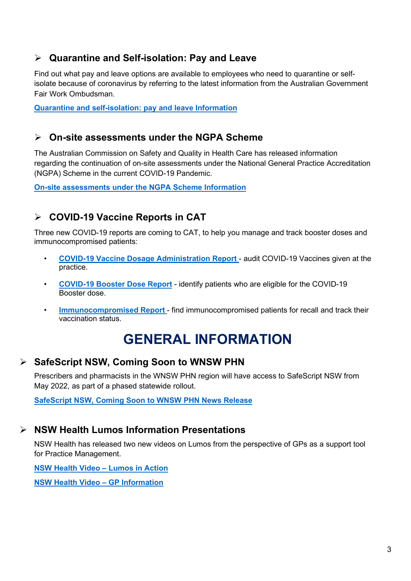#### **Quarantine and Self-isolation: Pay and Leave**

Find out what pay and leave options are available to employees who need to quarantine or selfisolate because of coronavirus by referring to the latest information from the Australian Government Fair Work Ombudsman.

**[Quarantine and self-isolation: pay and leave Information](https://coronavirus.fairwork.gov.au/coronavirus-and-australian-workplace-laws/pay-leave-and-stand-downs/quarantine-self-isolation)**

#### **On-site assessments under the NGPA Scheme**

The Australian Commission on Safety and Quality in Health Care has released information regarding the continuation of on-site assessments under the National General Practice Accreditation (NGPA) Scheme in the current COVID-19 Pandemic.

**[On-site assessments under the NGPA Scheme Information](https://mailchi.mp/qpa.health/commission-update-onsite-visits-2675433?e=c074cd543f)**

#### **COVID-19 Vaccine Reports in CAT**

Three new COVID-19 reports are coming to CAT, to help you manage and track booster doses and immunocompromised patients:

- **[COVID-19 Vaccine Dosage Administration Report](https://help.pencs.com.au/display/CG/COVID+Vaccine+Administration+Report)**  audit COVID-19 Vaccines given at the practice.
- **[COVID-19 Booster Dose Report](https://help.pencs.com.au/display/CR/COVID-19+Vaccine+Booster%3A+Identify+priority+patients+due+for+a+booster+shot)** identify patients who are eligible for the COVID-19 Booster dose.
- **[Immunocompromised Report](https://help.pencs.com.au/display/CR/Identify+immunocompromised+patients+due+for+a+third+COVID-19+vaccine)**  find immunocompromised patients for recall and track their vaccination status.

### **GENERAL INFORMATION**

#### <span id="page-2-0"></span>**SafeScript NSW, Coming Soon to WNSW PHN**

Prescribers and pharmacists in the WNSW PHN region will have access to SafeScript NSW from May 2022, as part of a phased statewide rollout.

**[SafeScript NSW, Coming Soon to WNSW PHN News Release](https://www.wnswphn.org.au/uploads/documents/newsletters/GP%20Resources%20February%202022/SafeScript%20NSW%20health%20practitioner%20article_.pdf)**

#### **NSW Health Lumos Information Presentations**

NSW Health has released two new videos on Lumos from the perspective of GPs as a support tool for Practice Management.

**[NSW Health Video –](https://www.health.nsw.gov.au/lumos/Pages/lumos-in-action.aspx) Lumos in Action**

**[NSW Health Video –](https://www.health.nsw.gov.au/lumos/Pages/gp-information.aspx) GP Information**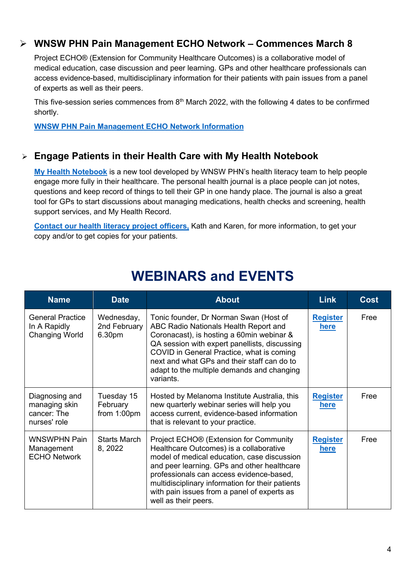#### **WNSW PHN Pain Management ECHO Network – Commences March 8**

Project ECHO® (Extension for Community Healthcare Outcomes) is a collaborative model of medical education, case discussion and peer learning. GPs and other healthcare professionals can access evidence-based, multidisciplinary information for their patients with pain issues from a panel of experts as well as their peers.

This five-session series commences from 8<sup>th</sup> March 2022, with the following 4 dates to be confirmed shortly.

**[WNSW PHN Pain Management ECHO Network Information](https://wnswphn.org.au/calendar/67/1373-WNSWPHN-Pain-Management-ECHO-Network)**

#### **Engage Patients in their Health Care with My Health Notebook**

**[My Health Notebook](https://wnswphn.org.au/healthnotebook)** is a new tool developed by WNSW PHN's health literacy team to help people engage more fully in their healthcare. The personal health journal is a place people can jot notes, questions and keep record of things to tell their GP in one handy place. The journal is also a great tool for GPs to start discussions about managing medications, health checks and screening, health support services, and My Health Record.

**[Contact our health literacy project officers,](mailto:healthliteracy@wnswphn.org.au)** Kath and Karen, for more information, to get your copy and/or to get copies for your patients.

<span id="page-3-0"></span>

| <b>Name</b>                                                      | <b>Date</b>                           | <b>About</b>                                                                                                                                                                                                                                                                                                                                                       | <b>Link</b>                    | <b>Cost</b> |
|------------------------------------------------------------------|---------------------------------------|--------------------------------------------------------------------------------------------------------------------------------------------------------------------------------------------------------------------------------------------------------------------------------------------------------------------------------------------------------------------|--------------------------------|-------------|
| <b>General Practice</b><br>In A Rapidly<br><b>Changing World</b> | Wednesday,<br>2nd February<br>6.30pm  | Tonic founder, Dr Norman Swan (Host of<br>ABC Radio Nationals Health Report and<br>Coronacast), is hosting a 60min webinar &<br>QA session with expert panellists, discussing<br>COVID in General Practice, what is coming<br>next and what GPs and their staff can do to<br>adapt to the multiple demands and changing<br>variants.                               | <b>Register</b><br>here        | Free        |
| Diagnosing and<br>managing skin<br>cancer: The<br>nurses' role   | Tuesday 15<br>February<br>from 1:00pm | Hosted by Melanoma Institute Australia, this<br>new quarterly webinar series will help you<br>access current, evidence-based information<br>that is relevant to your practice.                                                                                                                                                                                     | <b>Register</b><br><u>here</u> | Free        |
| WNSWPHN Pain<br>Management<br><b>ECHO Network</b>                | Starts March<br>8, 2022               | Project ECHO <sup>®</sup> (Extension for Community<br>Healthcare Outcomes) is a collaborative<br>model of medical education, case discussion<br>and peer learning. GPs and other healthcare<br>professionals can access evidence-based,<br>multidisciplinary information for their patients<br>with pain issues from a panel of experts as<br>well as their peers. | <b>Register</b><br>here        | Free        |

### **WEBINARS and EVENTS**